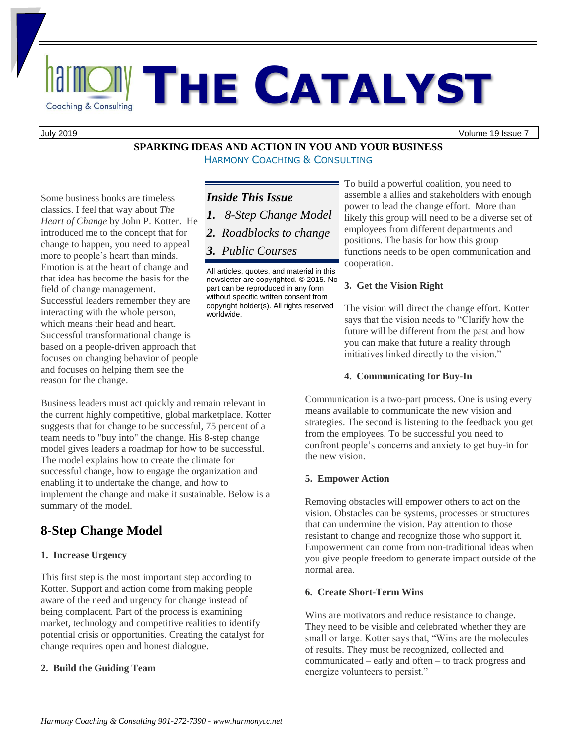# **<u>Rail MONST</u> HE CATALYST**

July 2019 Volume 19 Issue 7

#### **SPARKING IDEAS AND ACTION IN YOU AND YOUR BUSINESS** HARMONY COACHING & CONSULTING

Some business books are timeless classics. I feel that way about *The Heart of Change* by John P. Kotter. He introduced me to the concept that for change to happen, you need to appeal more to people's heart than minds. Emotion is at the heart of change and that idea has become the basis for the field of change management. Successful leaders remember they are interacting with the whole person, which means their head and heart. Successful transformational change is based on a people-driven approach that focuses on changing behavior of people and focuses on helping them see the reason for the change.

Business leaders must act quickly and remain relevant in the current highly competitive, global marketplace. Kotter suggests that for change to be successful, 75 percent of a team needs to "buy into" the change. His 8-step change model gives leaders a roadmap for how to be successful. The model explains how to create the climate for successful change, how to engage the organization and enabling it to undertake the change, and how to implement the change and make it sustainable. Below is a summary of the model.

### **8-Step Change Model**

#### **1. Increase Urgency**

This first step is the most important step according to Kotter. Support and action come from making people aware of the need and urgency for change instead of being complacent. Part of the process is examining market, technology and competitive realities to identify potential crisis or opportunities. Creating the catalyst for change requires open and honest dialogue.

#### **2. Build the Guiding Team**

#### *Inside This Issue*

- *1. 8-Step Change Model*
- *2. Roadblocks to change*
- *3. Public Courses*

All articles, quotes, and material in this newsletter are copyrighted. © 2015. No part can be reproduced in any form without specific written consent from copyright holder(s). All rights reserved worldwide.

To build a powerful coalition, you need to assemble a allies and stakeholders with enough power to lead the change effort. More than likely this group will need to be a diverse set of employees from different departments and positions. The basis for how this group functions needs to be open communication and cooperation.

#### **3. Get the Vision Right**

The vision will direct the change effort. Kotter says that the vision needs to "Clarify how the future will be different from the past and how you can make that future a reality through initiatives linked directly to the vision."

#### **4. Communicating for Buy-In**

Communication is a two-part process. One is using every means available to communicate the new vision and strategies. The second is listening to the feedback you get from the employees. To be successful you need to confront people's concerns and anxiety to get buy-in for the new vision.

#### **5. Empower Action**

Removing obstacles will empower others to act on the vision. Obstacles can be systems, processes or structures that can undermine the vision. Pay attention to those resistant to change and recognize those who support it. Empowerment can come from non-traditional ideas when you give people freedom to generate impact outside of the normal area.

#### **6. Create Short-Term Wins**

Wins are motivators and reduce resistance to change. They need to be visible and celebrated whether they are small or large. Kotter says that, "Wins are the molecules of results. They must be recognized, collected and communicated – early and often – to track progress and energize volunteers to persist."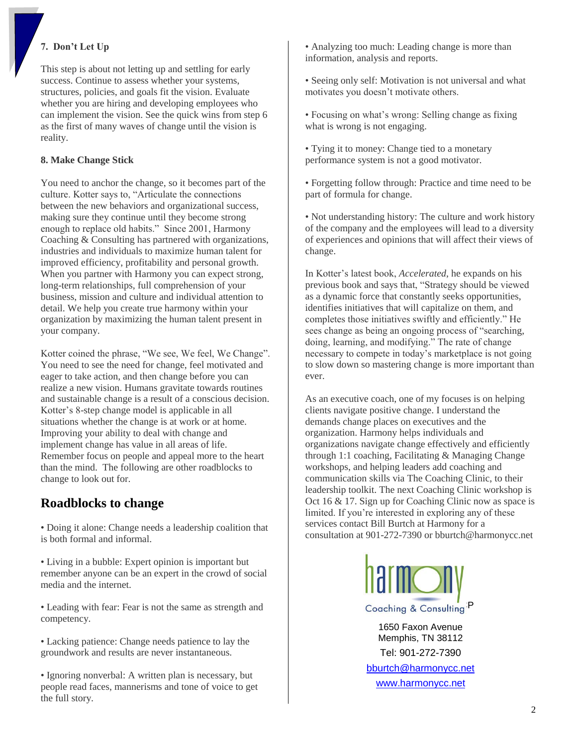#### **7. Don't Let Up**

This step is about not letting up and settling for early success. Continue to assess whether your systems, structures, policies, and goals fit the vision. Evaluate whether you are hiring and developing employees who can implement the vision. See the quick wins from step 6 as the first of many waves of change until the vision is reality.

#### **8. Make Change Stick**

You need to anchor the change, so it becomes part of the culture. Kotter says to, "Articulate the connections between the new behaviors and organizational success, making sure they continue until they become strong enough to replace old habits." Since 2001, Harmony Coaching & Consulting has partnered with organizations, industries and individuals to maximize human talent for improved efficiency, profitability and personal growth. When you partner with Harmony you can expect strong, long-term relationships, full comprehension of your business, mission and culture and individual attention to detail. We help you create true harmony within your organization by maximizing the human talent present in your company.

Kotter coined the phrase, "We see, We feel, We Change". You need to see the need for change, feel motivated and eager to take action, and then change before you can realize a new vision. Humans gravitate towards routines and sustainable change is a result of a conscious decision. Kotter's 8-step change model is applicable in all situations whether the change is at work or at home. Improving your ability to deal with change and implement change has value in all areas of life. Remember focus on people and appeal more to the heart than the mind. The following are other roadblocks to change to look out for.

#### **Roadblocks to change**

• Doing it alone: Change needs a leadership coalition that is both formal and informal.

• Living in a bubble: Expert opinion is important but remember anyone can be an expert in the crowd of social media and the internet.

• Leading with fear: Fear is not the same as strength and competency.

• Lacking patience: Change needs patience to lay the groundwork and results are never instantaneous.

• Ignoring nonverbal: A written plan is necessary, but people read faces, mannerisms and tone of voice to get the full story.

• Analyzing too much: Leading change is more than information, analysis and reports.

• Seeing only self: Motivation is not universal and what motivates you doesn't motivate others.

• Focusing on what's wrong: Selling change as fixing what is wrong is not engaging.

• Tying it to money: Change tied to a monetary performance system is not a good motivator.

• Forgetting follow through: Practice and time need to be part of formula for change.

• Not understanding history: The culture and work history of the company and the employees will lead to a diversity of experiences and opinions that will affect their views of change.

In Kotter's latest book, *Accelerated*, he expands on his previous book and says that, "Strategy should be viewed as a dynamic force that constantly seeks opportunities, identifies initiatives that will capitalize on them, and completes those initiatives swiftly and efficiently." He sees change as being an ongoing process of "searching, doing, learning, and modifying." The rate of change necessary to compete in today's marketplace is not going to slow down so mastering change is more important than ever.

As an executive coach, one of my focuses is on helping clients navigate positive change. I understand the demands change places on executives and the organization. Harmony helps individuals and organizations navigate change effectively and efficiently through 1:1 coaching, Facilitating & Managing Change workshops, and helping leaders add coaching and communication skills via The Coaching Clinic, to their leadership toolkit. The next Coaching Clinic workshop is Oct 16 & 17. Sign up for Coaching Clinic now as space is limited. If you're interested in exploring any of these services contact Bill Burtch at Harmony for a consultation at 901-272-7390 or bburtch@harmonycc.net



1650 Faxon Avenue Memphis, TN 38112 Tel: 901-272-7390 [bburtch@harmonycc.net](mailto:bburtch@harmonycc.net) [www.harmonycc.net](http://www.harmonycc.net/)